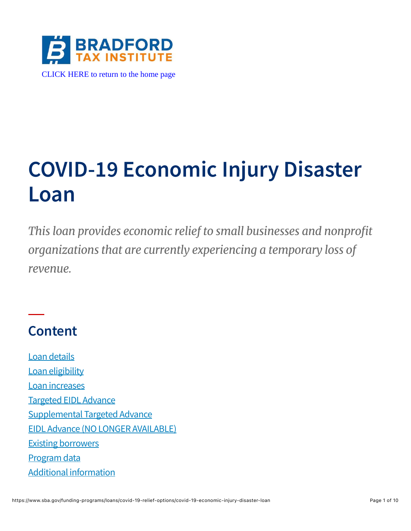

# **COVID-19 Economic Injury Disaster Loan**

*This loan provides economic relief to small businesses and nonprofit organizations that are currently experiencing a temporary loss of revenue.*

### **Content**

[Loan details](#page-1-0) [Loan eligibility](#page-3-0) [Loan increases](#page-3-1) [Targeted EIDL Advance](#page-4-0) [Supplemental Targeted Advance](#page-6-0) [EIDL Advance \(NO LONGER AVAILABLE\)](#page-7-0) [Existing borrowers](#page-8-0) [Program data](#page-8-1) [Additional information](#page-9-0)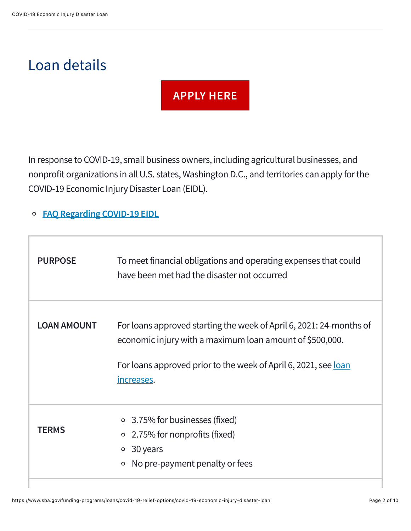### <span id="page-1-0"></span>Loan details

#### **[APPLY HERE](https://covid19relief.sba.gov/)**

In response to COVID-19, small business owners, including agricultural businesses, and nonprofit organizations in all U.S. states, Washington D.C., and territories can apply for the COVID-19 Economic Injury Disaster Loan (EIDL).

#### **[FAQ Regarding COVID-19 EIDL](https://www.sba.gov/document/support-faq-covid-19-economic-injury-disaster-loan-eidl)**  $\circ$

| <b>PURPOSE</b>     | To meet financial obligations and operating expenses that could<br>have been met had the disaster not occurred                                                                                                          |
|--------------------|-------------------------------------------------------------------------------------------------------------------------------------------------------------------------------------------------------------------------|
| <b>LOAN AMOUNT</b> | For loans approved starting the week of April 6, 2021: 24-months of<br>economic injury with a maximum loan amount of \$500,000.<br>For loans approved prior to the week of April 6, 2021, see <u>loan</u><br>increases. |
| <b>TERMS</b>       | $\circ$ 3.75% for businesses (fixed)<br>2.75% for nonprofits (fixed)<br>$\circ$<br>30 years<br>$\circ$<br>No pre-payment penalty or fees<br>$\circ$                                                                     |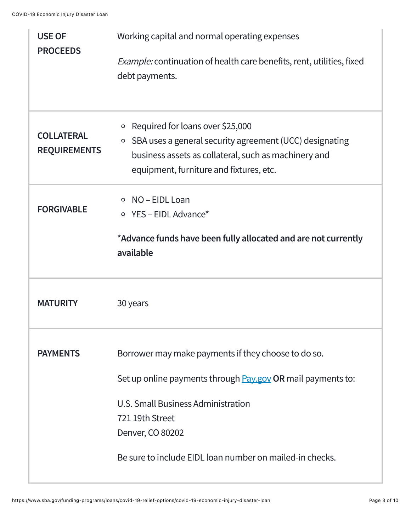| <b>USE OF</b>                            | Working capital and normal operating expenses                                                                                                                                                                        |  |  |
|------------------------------------------|----------------------------------------------------------------------------------------------------------------------------------------------------------------------------------------------------------------------|--|--|
| <b>PROCEEDS</b>                          | <i>Example:</i> continuation of health care benefits, rent, utilities, fixed<br>debt payments.                                                                                                                       |  |  |
| <b>COLLATERAL</b><br><b>REQUIREMENTS</b> | Required for loans over \$25,000<br>$\circ$<br>SBA uses a general security agreement (UCC) designating<br>$\circ$<br>business assets as collateral, such as machinery and<br>equipment, furniture and fixtures, etc. |  |  |
| <b>FORGIVABLE</b>                        | NO-EIDL Loan<br>$\circ$<br>$\circ$ YES - EIDL Advance*                                                                                                                                                               |  |  |
|                                          | *Advance funds have been fully allocated and are not currently<br>available                                                                                                                                          |  |  |
| <b>MATURITY</b>                          | 30 years                                                                                                                                                                                                             |  |  |
| <b>PAYMENTS</b>                          | Borrower may make payments if they choose to do so.                                                                                                                                                                  |  |  |
|                                          | Set up online payments through <b>Pay.gov OR</b> mail payments to:                                                                                                                                                   |  |  |
|                                          | U.S. Small Business Administration                                                                                                                                                                                   |  |  |
|                                          | 721 19th Street<br>Denver, CO 80202                                                                                                                                                                                  |  |  |
|                                          | Be sure to include EIDL loan number on mailed-in checks.                                                                                                                                                             |  |  |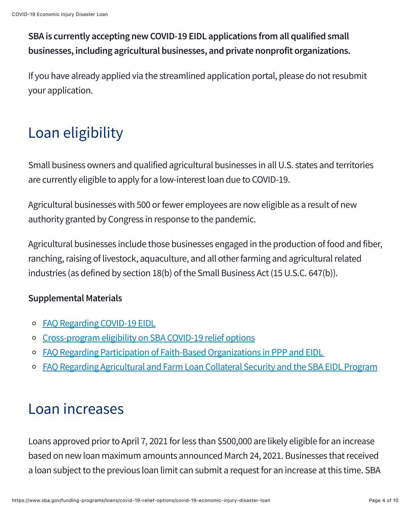**SBA is currently accepting new COVID-19 EIDL applications from all qualified small businesses, including agricultural businesses, and private nonprofit organizations.**

If you have already applied via the streamlined application portal, please do not resubmit your application.

## <span id="page-3-0"></span>Loan eligibility

Small business owners and qualified agricultural businesses in all U.S. states and territories are currently eligible to apply for a low-interest loan due to COVID-19.

Agricultural businesses with 500 or fewer employees are now eligible as a result of new authority granted by Congress in response to the pandemic.

Agricultural businesses include those businesses engaged in the production of food and fiber, ranching, raising of livestock, aquaculture, and all other farming and agricultural related industries (as defined by section 18(b) of the Small Business Act (15 U.S.C. 647(b)).

#### **Supplemental Materials**

- [FAQ Regarding COVID-19 EIDL](https://www.sba.gov/document/support-faq-covid-19-economic-injury-disaster-loan-eidl)
- [Cross-program eligibility on SBA COVID-19 relief options](https://www.sba.gov/funding-programs/loans/covid-19-relief-options/cross-program-eligibility-sba-covid-19-relief-options)
- o FAO Regarding Participation of Faith-Based Organizations in PPP and EIDL
- [FAQ Regarding Agricultural and Farm Loan Collateral Security and the SBA EIDL Program](https://www.sba.gov/document/support-faq-agricultural-business-farming-operations-covid-19-eidl)

### <span id="page-3-1"></span>Loan increases

Loans approved prior to April 7, 2021 for less than \$500,000 are likely eligible for an increase based on new loan maximum amounts announced March 24, 2021. Businesses that received a loan subject to the previous loan limit can submit a request for an increase at this time. SBA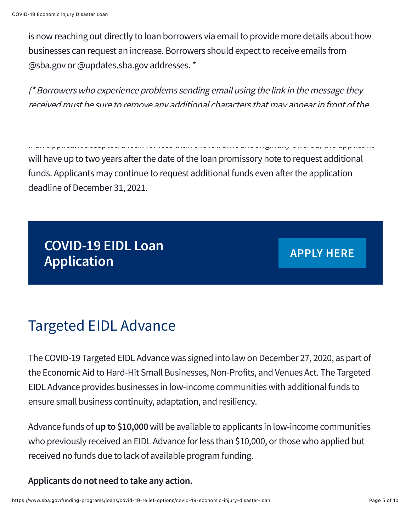is now reaching out directly to loan borrowers via email to provide more details about how businesses can request an increase. Borrowers should expect to receive emails from @sba.gov or @updates.sba.gov addresses. \*

(\* Borrowers who experience problems sending email using the link in the message they received must be sure to remove any additional characters that may appear in front of the

If applicant accepted a loan for less than the full amount originally offers applicant applicant will have up to two years after the date of the loan promissory note to request additional funds. Applicants may continue to request additional funds even after the application deadline of December 31, 2021.

**COVID-19 EIDL Loan Application [APPLY HERE](https://covid19relief.sba.gov/)**

### <span id="page-4-0"></span>Targeted EIDL Advance

The COVID-19 Targeted EIDL Advance was signed into law on December 27, 2020, as part of the Economic Aid to Hard-Hit Small Businesses, Non-Profits, and Venues Act. The Targeted EIDL Advance provides businesses in low-income communities with additional funds to ensure small business continuity, adaptation, and resiliency.

Advance funds of **up to \$10,000** will be available to applicants in low-income communities who previously received an EIDL Advance for less than \$10,000, or those who applied but received no funds due to lack of available program funding.

**Applicants do not need to take any action.**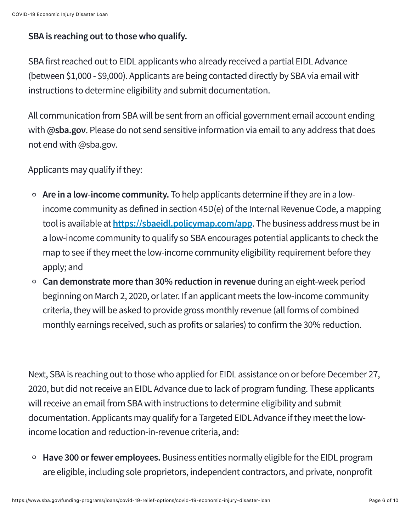#### **SBA is reaching out to those who qualify.**

SBA first reached out to EIDL applicants who already received a partial EIDL Advance (between \$1,000 - \$9,000). Applicants are being contacted directly by SBA via email with instructions to determine eligibility and submit documentation.

All communication from SBA will be sent from an official government email account ending with **@sba.gov**. Please do not send sensitive information via email to any address that does not end with @sba.gov.

Applicants may qualify if they:

- **Are in a low-income community.** To help applicants determine if they are in a lowincome community as defined in section 45D(e) of the Internal Revenue Code, a mapping tool is available at **<https://sbaeidl.policymap.com/app>**. The business address must be in a low-income community to qualify so SBA encourages potential applicants to check the map to see if they meet the low-income community eligibility requirement before they apply; and
- **Can demonstrate more than 30% reduction in revenue** during an eight-week period beginning on March 2, 2020, or later. If an applicant meets the low-income community criteria, they will be asked to provide gross monthly revenue (all forms of combined monthly earnings received, such as profits or salaries) to confirm the 30% reduction.

Next, SBA is reaching out to those who applied for EIDL assistance on or before December 27, 2020, but did not receive an EIDL Advance due to lack of program funding. These applicants will receive an email from SBA with instructions to determine eligibility and submit documentation. Applicants may qualify for a Targeted EIDL Advance if they meet the lowincome location and reduction-in-revenue criteria, and:

**Have 300 or fewer employees.** Business entities normally eligible for the EIDL program are eligible, including sole proprietors, independent contractors, and private, nonprofit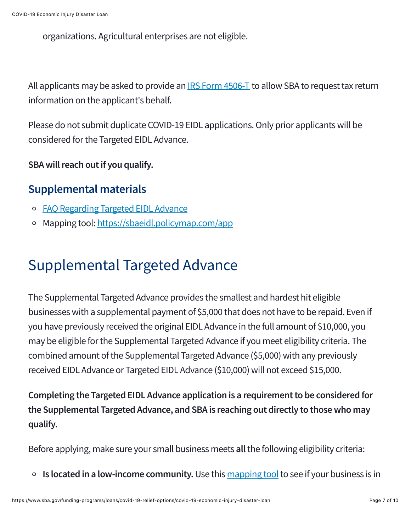organizations. Agricultural enterprises are not eligible.

All applicants may be asked to provide an **IRS Form 4506-T** to allow SBA to request tax return information on the applicant's behalf.

Please do not submit duplicate COVID-19 EIDL applications. Only prior applicants will be considered for the Targeted EIDL Advance.

**SBA will reach out if you qualify.**

#### **Supplemental materials**

- o [FAQ Regarding Targeted EIDL Advance](https://www.sba.gov/document/support-targeted-eidl-frequently-asked-questions)
- Mapping tool:<https://sbaeidl.policymap.com/app>  $\circ$

### <span id="page-6-0"></span>Supplemental Targeted Advance

The Supplemental Targeted Advance provides the smallest and hardest hit eligible businesses with a supplemental payment of \$5,000 that does not have to be repaid. Even if you have previously received the original EIDL Advance in the full amount of \$10,000, you may be eligible for the Supplemental Targeted Advance if you meet eligibility criteria. The combined amount of the Supplemental Targeted Advance (\$5,000) with any previously received EIDL Advance or Targeted EIDL Advance (\$10,000) will not exceed \$15,000.

**Completing the Targeted EIDL Advance application is a requirement to be considered for the Supplemental Targeted Advance, and SBA is reaching out directly to those who may qualify.**

Before applying, make sure your small business meets **all** the following eligibility criteria:

**Is located in a low-income community.** Use this [mapping tool](https://sbaeidl.policymap.com/app) to see if your business is in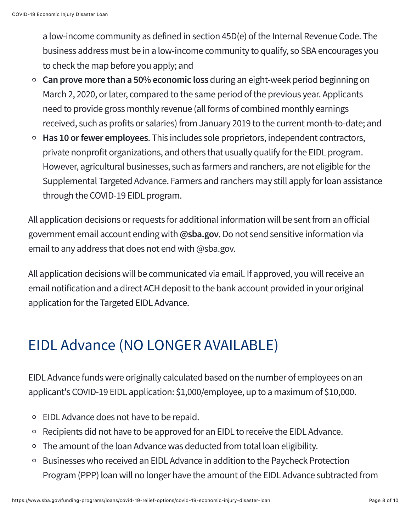a low-income community as defined in section 45D(e) of the Internal Revenue Code. The business address must be in a low-income community to qualify, so SBA encourages you to check the map before you apply; and

- **Can prove more than a 50% economic loss** during an eight-week period beginning on March 2, 2020, or later, compared to the same period of the previous year. Applicants need to provide gross monthly revenue (all forms of combined monthly earnings received, such as profits or salaries) from January 2019 to the current month-to-date; and
- **Has 10 or fewer employees**. This includes sole proprietors, independent contractors, private nonprofit organizations, and others that usually qualify for the EIDL program. However, agricultural businesses, such as farmers and ranchers, are not eligible for the Supplemental Targeted Advance. Farmers and ranchers may still apply for loan assistance through the COVID-19 EIDL program.

All application decisions or requests for additional information will be sent from an official government email account ending with **@sba.gov**. Do not send sensitive information via email to any address that does not end with @sba.gov.

All application decisions will be communicated via email. If approved, you will receive an email notification and a direct ACH deposit to the bank account provided in your original application for the Targeted EIDL Advance.

### <span id="page-7-0"></span>EIDL Advance (NO LONGER AVAILABLE)

EIDL Advance funds were originally calculated based on the number of employees on an applicant's COVID-19 EIDL application: \$1,000/employee, up to a maximum of \$10,000.

- EIDL Advance does not have to be repaid.
- Recipients did not have to be approved for an EIDL to receive the EIDL Advance.  $\circ$
- The amount of the loan Advance was deducted from total loan eligibility.
- Businesses who received an EIDL Advance in addition to the Paycheck Protection Program (PPP) loan will no longer have the amount of the EIDL Advance subtracted from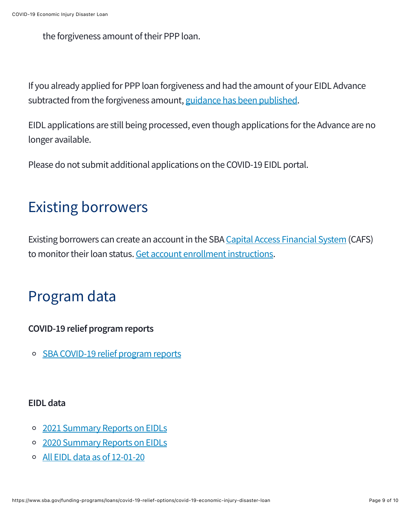the forgiveness amount of their PPP loan.

If you already applied for PPP loan forgiveness and had the amount of your EIDL Advance subtracted from the forgiveness amount, [guidance has been published.](https://www.sba.gov/document/procedural-notice-repeal-eidl-advance-deduction-requirement-sba-loan-forgiveness-remittances-ppp-lenders)

EIDL applications are still being processed, even though applications for the Advance are no longer available.

Please do not submit additional applications on the COVID-19 EIDL portal.

### <span id="page-8-0"></span>Existing borrowers

Existing borrowers can create an account in the SBA [Capital Access Financial System](https://caweb.sba.gov/cls/dsp_login.cfm) (CAFS) to monitor their loan status. [Get account enrollment instructions.](https://www.sba.gov/document/support-cafs-account-enrollment-access-instructions-borrowers)

### <span id="page-8-1"></span>Program data

#### **COVID-19 relief program reports**

[SBA COVID-19 relief program reports](https://www.sba.gov/document/report-sba-covid-relief-program-report)  $\circ$ 

#### **EIDL data**

- o [2021 Summary Reports on EIDLs](https://www.sba.gov/document/report-covid-19-eidl-loans-report-2021)
- [2020 Summary Reports on EIDLs](https://www.sba.gov/document/report-covid-19-eidl-loans-report-2020)
- [All EIDL data as of 12-01-20](https://data.sba.gov/dataset/covid-19-eidl)